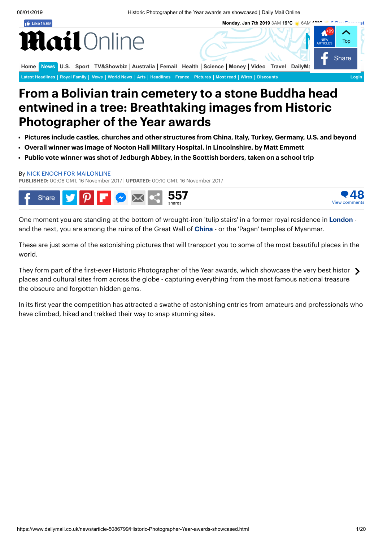**Monday, Jan 7th 2019** 3AM **19°C** 6AM **18°C [5-Day Forecast](https://www.dailymail.co.uk/home/weather/index.html)**

<span id="page-0-0"></span> $\frac{1}{2}$  Like 15.6M

## lail Online

**[Home](https://www.dailymail.co.uk/home/index.html) [News](https://www.dailymail.co.uk/news/index.html)** [U.S.](https://www.dailymail.co.uk/ushome/index.html) [Sport](https://www.dailymail.co.uk/sport/index.html) | [TV&Showbiz](https://www.dailymail.co.uk/tvshowbiz/index.html) | [Australia](https://www.dailymail.co.uk/auhome/index.html) | [Femail](https://www.dailymail.co.uk/femail/index.html) | [Health](https://www.dailymail.co.uk/health/index.html) | [Science](https://www.dailymail.co.uk/sciencetech/index.html) | [Money](https://www.dailymail.co.uk/money/index.html) | [Video](https://www.dailymail.co.uk/video/index.html) | [Travel](https://www.dailymail.co.uk/travel/index.html) | DailyMa **[Latest Headlines](https://www.dailymail.co.uk/home/latest/index.html#news) [Royal Family](https://www.dailymail.co.uk/news/royals/index.html)** *[News](https://www.dailymail.co.uk/news/index.html)* **[World News](https://www.dailymail.co.uk/news/worldnews/index.html) [Arts](https://www.dailymail.co.uk/news/arts/index.html) [Headlines](https://www.dailymail.co.uk/news/headlines/index.html) [France](https://www.dailymail.co.uk/news/france/index.html) [Pictures](https://www.dailymail.co.uk/news/pictures/index.html) [Most read](https://www.dailymail.co.uk/news/mostread/index.html) [Wires](https://www.dailymail.co.uk/wires/index.html) [Discounts](https://discountcode.dailymail.co.uk/) [Login](https://www.dailymail.co.uk/registration/login.html?targetUrl=)**

## From a Bolivian train cemetery to a stone Buddha head entwined in a tree: Breathtaking images from Historic Photographer of the Year awards

- Pictures include castles, churches and other structures from China, Italy, Turkey, Germany, U.S. and beyond
- Overall winner was image of Nocton Hall Military Hospital, in Lincolnshire, by Matt Emmett
- Public vote winner was shot of Jedburgh Abbey, in the Scottish borders, taken on a school trip

## By NICK ENOCH FOR [MAILONLINE](https://www.dailymail.co.uk/home/search.html?s=&authornamef=Nick+Enoch+for+MailOnline)

PUBLISHED: 00:08 GMT, 16 November 2017 | UPDATED: 00:10 GMT, 16 November 2017



View comments

One moment you are standing at the bottom of wrought-iron 'tulip stairs' in a former royal residence in [London](https://www.dailymail.co.uk/news/london/index.html) -and the next, you are among the ruins of the Great Wall of [China](https://www.dailymail.co.uk/news/china/index.html) - or the 'Pagan' temples of Myanmar.

These are just some of the astonishing pictures that will transport you to some of the most beautiful places in the world.

They form part of the first-ever Historic Photographer of the Year awards, which showcase the very best histori places and cultural sites from across the globe - capturing everything from the most famous national treasure the obscure and forgotten hidden gems.

In its first year the competition has attracted a swathe of astonishing entries from amateurs and professionals who have climbed, hiked and trekked their way to snap stunning sites.

48

**Share** 

**[Top](#page-0-0)** 

NEW

+99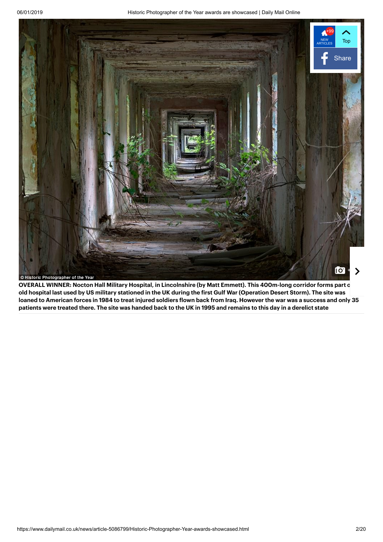

OVERALL WINNER: Nocton Hall Military Hospital, in Lincolnshire (by Matt Emmett). This 400m-long corridor forms part o old hospital last used by US military stationed in the UK during the first Gulf War (Operation Desert Storm). The site was loaned to American forces in 1984 to treat injured soldiers flown back from Iraq. However the war was a success and only 35 patients were treated there. The site was handed back to the UK in 1995 and remains to this day in a derelict state